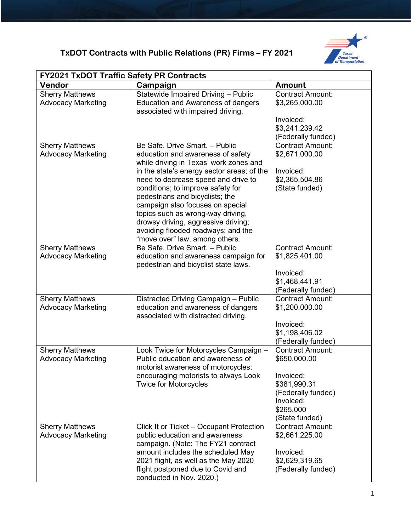## **TxDOT Contracts with Public Relations (PR) Firms – FY 2021**



| <b>FY2021 TxDOT Traffic Safety PR Contracts</b>     |                                                                                                                                                                                                                                                                                                                                                                                                                                                                    |                                                                                                                                        |  |  |
|-----------------------------------------------------|--------------------------------------------------------------------------------------------------------------------------------------------------------------------------------------------------------------------------------------------------------------------------------------------------------------------------------------------------------------------------------------------------------------------------------------------------------------------|----------------------------------------------------------------------------------------------------------------------------------------|--|--|
| Vendor                                              | Campaign                                                                                                                                                                                                                                                                                                                                                                                                                                                           | <b>Amount</b>                                                                                                                          |  |  |
| <b>Sherry Matthews</b><br><b>Advocacy Marketing</b> | Statewide Impaired Driving - Public<br><b>Education and Awareness of dangers</b><br>associated with impaired driving.                                                                                                                                                                                                                                                                                                                                              | <b>Contract Amount:</b><br>\$3,265,000.00<br>Invoiced:                                                                                 |  |  |
|                                                     |                                                                                                                                                                                                                                                                                                                                                                                                                                                                    | \$3,241,239.42<br>(Federally funded)                                                                                                   |  |  |
| <b>Sherry Matthews</b><br><b>Advocacy Marketing</b> | Be Safe, Drive Smart, - Public<br>education and awareness of safety<br>while driving in Texas' work zones and<br>in the state's energy sector areas; of the<br>need to decrease speed and drive to<br>conditions; to improve safety for<br>pedestrians and bicyclists; the<br>campaign also focuses on special<br>topics such as wrong-way driving,<br>drowsy driving, aggressive driving;<br>avoiding flooded roadways; and the<br>"move over" law, among others. | <b>Contract Amount:</b><br>\$2,671,000.00<br>Invoiced:<br>\$2,365,504.86<br>(State funded)                                             |  |  |
| <b>Sherry Matthews</b><br><b>Advocacy Marketing</b> | Be Safe, Drive Smart, - Public<br>education and awareness campaign for<br>pedestrian and bicyclist state laws.                                                                                                                                                                                                                                                                                                                                                     | <b>Contract Amount:</b><br>\$1,825,401.00<br>Invoiced:<br>\$1,468,441.91<br>(Federally funded)                                         |  |  |
| <b>Sherry Matthews</b><br><b>Advocacy Marketing</b> | Distracted Driving Campaign - Public<br>education and awareness of dangers<br>associated with distracted driving.                                                                                                                                                                                                                                                                                                                                                  | <b>Contract Amount:</b><br>\$1,200,000.00<br>Invoiced:<br>\$1,198,406.02<br>(Federally funded)                                         |  |  |
| <b>Sherry Matthews</b><br><b>Advocacy Marketing</b> | Look Twice for Motorcycles Campaign -<br>Public education and awareness of<br>motorist awareness of motorcycles;<br>encouraging motorists to always Look<br><b>Twice for Motorcycles</b>                                                                                                                                                                                                                                                                           | <b>Contract Amount:</b><br>\$650,000.00<br>Invoiced:<br>\$381,990.31<br>(Federally funded)<br>Invoiced:<br>\$265,000<br>(State funded) |  |  |
| <b>Sherry Matthews</b><br><b>Advocacy Marketing</b> | Click It or Ticket - Occupant Protection<br>public education and awareness<br>campaign. (Note: The FY21 contract<br>amount includes the scheduled May<br>2021 flight, as well as the May 2020<br>flight postponed due to Covid and<br>conducted in Nov. 2020.)                                                                                                                                                                                                     | <b>Contract Amount:</b><br>\$2,661,225.00<br>Invoiced:<br>\$2,629,319.65<br>(Federally funded)                                         |  |  |